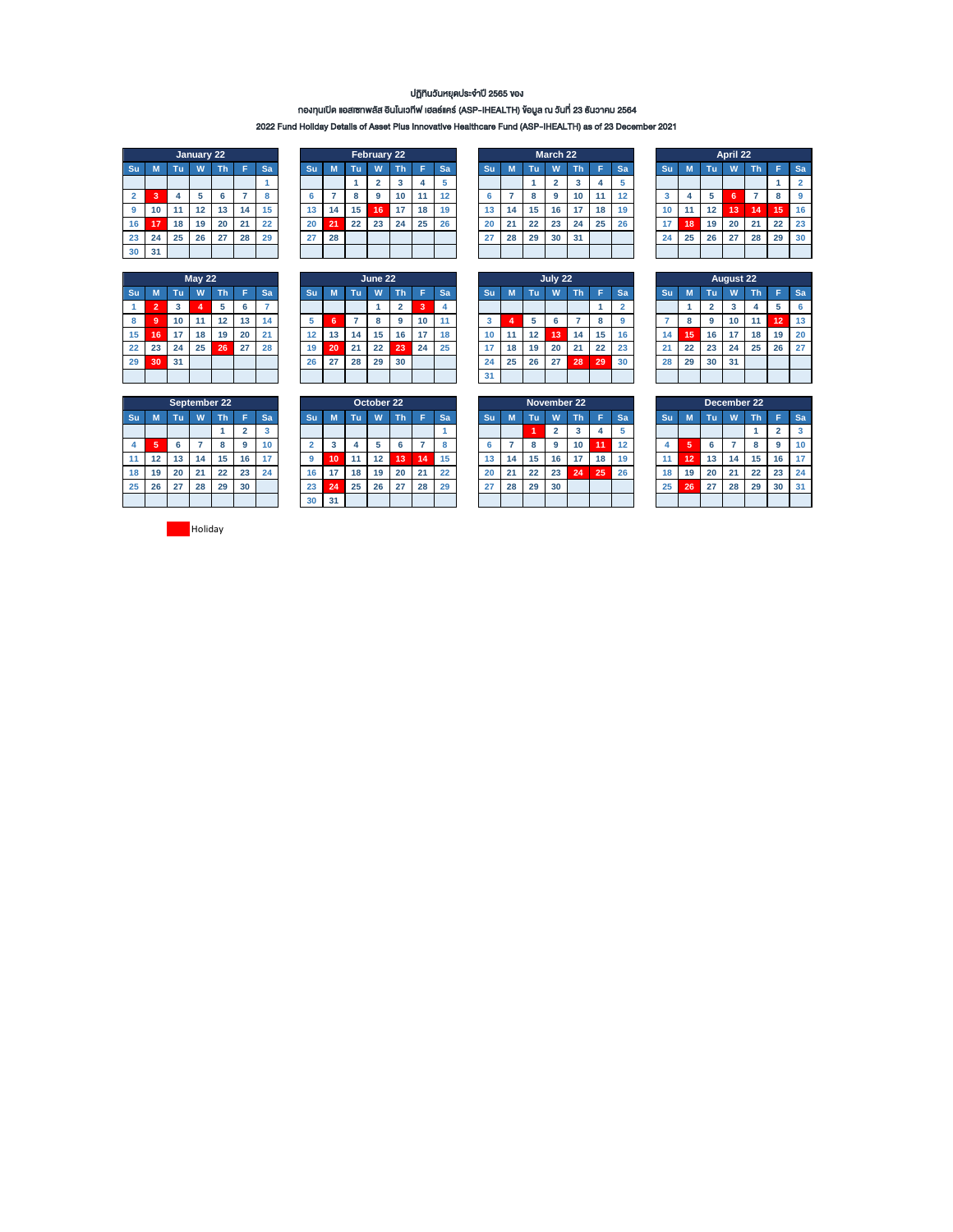## ปฏิทินวันหยุดประจำปี 2565 ของ

# กองทุนเปิด แอสเซทพลัส อินโนเวทีฟ เฮลธ์แคร์ (ASP-IHEALTH) ข้อมูล ณ วันที่ 23 ธันวำคม 2564

2022 Fund Holiday Details of Asset Plus Innovative Healthcare Fund (ASP-IHEALTH) as of 23 December 2021

|                |    |    | January 22 |    |    |    |
|----------------|----|----|------------|----|----|----|
| Su             | M  | Tu | W          | Th | F  | Sa |
|                |    |    |            |    |    |    |
| $\overline{2}$ | 3  | 4  | 5          | 6  |    | 8  |
| 9              | 10 | 11 | 12         | 13 | 14 | 15 |
| 16             | 17 | 18 | 19         | 20 | 21 | 22 |
| 23             | 24 | 25 | 26         | 27 | 28 | 29 |
| 30             | 31 |    |            |    |    |    |

|           |    |    | <b>May 22</b> |    |    |    |                 |    |    | June 22 |           |    |    |           |    |    | July 22 |    |    |    |           |         |    | <b>August 22</b> |    |    |    |
|-----------|----|----|---------------|----|----|----|-----------------|----|----|---------|-----------|----|----|-----------|----|----|---------|----|----|----|-----------|---------|----|------------------|----|----|----|
| <b>Su</b> |    | πū | W             | ۷ħ |    | Sa | Su              | M  | Γu | W       | <b>Th</b> |    | Sa | <b>Su</b> | n. | Τu | W       | Th |    | Sa | <b>Su</b> |         | Tu | w                | Πh |    | Sa |
|           |    | 3  |               |    | -6 |    |                 |    |    |         | c<br>▵    | ∍  |    |           |    |    |         |    |    |    |           |         |    |                  |    |    |    |
|           | 9  | 10 | 11            | 12 | 13 | 14 |                 | n  |    |         | 9         | 10 |    | 3         |    |    |         |    |    |    |           | $\circ$ | 9  | 10               | 11 | 12 | 13 |
| 15        | 16 | 17 | 18            | 19 | 20 | 21 | 12              | 13 | 14 | 15      | 16        | 17 | 18 | 10        | 11 | 12 | 13      | 14 | 15 | 16 | 14        | 15      | 16 | 17               | 18 | 19 | 20 |
| 22        | 23 | 24 | 25            | 26 | 27 | 28 | 19 <sup>°</sup> | 20 | 21 | 22      | 23        | 24 | 25 | 17        | 18 | 19 | 20      | 21 | 22 | 23 | 21        | 22      | 23 | 24               | 25 | 26 | 27 |
| 29        | 30 | 31 |               |    |    |    | 26              | 27 | 28 | 29      | 30        |    |    | 24        | 25 | 26 | 27      | 28 | 29 | 30 | 28        | 29      | 30 | 31               |    |    |    |
|           |    |    |               |    |    |    |                 |    |    |         |           |    |    | 31        |    |    |         |    |    |    |           |         |    |                  |    |    |    |

|                 |                             |    | January 22 |    |    |              |    |    |    | February 22 |    |    |    |    |    |    | March 22 |    |    |           |    |    |    | April 22 |     |    |           |
|-----------------|-----------------------------|----|------------|----|----|--------------|----|----|----|-------------|----|----|----|----|----|----|----------|----|----|-----------|----|----|----|----------|-----|----|-----------|
| Su              | M                           | πī | W          | ٦ħ |    | Sa           | Su |    | ГU |             | Th | Е  | Sa | Su |    | Tu | W        | Th | Е  | <b>Sa</b> | Su |    | Tu | W        |     |    | <b>Sa</b> |
|                 |                             |    |            |    |    |              |    |    |    |             |    |    |    |    |    |    |          |    |    |           |    |    |    |          |     |    | n         |
| $\overline{2}$  | $\ddot{\phantom{1}}$<br>- 3 |    |            |    |    | $\circ$<br>c |    |    |    | 9           | 10 |    | 12 |    |    |    | 9        | 10 |    | 12        | Ð  |    |    |          |     |    | 9         |
| 9               | 10                          |    | 12         | 13 | 14 | 15           | 13 | 14 | 15 | 16          | 17 | 18 | 19 | 13 | 14 | 15 | 16       | 17 | 18 | 19        | 10 |    | 12 | 13       | \14 | 15 | -16       |
| 16 <sup>1</sup> | 47                          | 18 | 19         | 20 | 21 | 22           | 20 | 21 | 22 | 23          | 24 | 25 | 26 | 20 | 21 | 22 | 23       | 24 | 25 | 26        |    | 18 | 19 | 20       | 21  | 22 | 23        |
| 23              | 24                          | 25 | 26         | 27 | 28 | 29           | 27 | 28 |    |             |    |    |    | 27 | 28 | 29 | 30       | 31 |    |           | 24 | 25 | 26 | 27       | 28  | 29 | 30        |
| 30              | 31                          |    |            |    |    |              |    |    |    |             |    |    |    |    |    |    |          |    |    |           |    |    |    |          |     |    |           |

| <b>May 22</b> |    |    |    |           |    |    | June 22 |     |        |    |
|---------------|----|----|----|-----------|----|----|---------|-----|--------|----|
| W             | Th |    | Sa | <b>Su</b> | M  | Tu | W       | Тh  | E      | Sa |
| 4             | 5  | 6  |    |           |    |    |         |     | ۰<br>۰ | 4  |
| 11            | 12 | 13 | 14 | 5         | 6  |    |         | 9   | 10     | 11 |
| 18            | 19 | 20 | 21 | 12        | 13 | 14 | 15      | 16  | 17     | 18 |
| 25            | 26 | 27 | 28 | 19        | 20 | 21 | 22      | 23' | 24     | 25 |
|               |    |    |    | 26        | 27 | 28 | 29      | 30  |        |    |
|               |    |    |    |           |    |    |         |     |        |    |

|    |    |    | .                       |    |    |    |
|----|----|----|-------------------------|----|----|----|
| Su | M  | Tu | W                       | Th | F  | Sa |
|    |    |    | $\overline{\mathbf{2}}$ | 3  | 4  | 5  |
| 6  |    | 8  | 9                       | 10 | 11 | 12 |
| 13 | 14 | 15 | 16                      | 17 | 18 | 19 |
| 20 | 21 | 22 | 23                      | 24 | 25 | 26 |
| 27 | 28 | 29 | 30                      | 31 |    |    |
|    |    |    |                         |    |    |    |
|    |    |    |                         |    |    |    |
|    |    |    | . .                     |    |    |    |

|                 |    |    | <b>May 22</b> |    |                 |           |    |    |    | June 22 |    |     |     | July 22 |           |    |                  |    |           |    |           |    |    |    | <b>August 22</b> |    |    |           |
|-----------------|----|----|---------------|----|-----------------|-----------|----|----|----|---------|----|-----|-----|---------|-----------|----|------------------|----|-----------|----|-----------|----|----|----|------------------|----|----|-----------|
| Su              |    | ٦ħ | W             | Th |                 | <b>Sa</b> | Su | M  | чu | W       | Тħ | Е   | Sa  |         | <b>Su</b> | M  | Tu               | W  | <b>Th</b> | Е  | <b>Sa</b> | Su |    | Tu | W                | Тh |    | <b>Sa</b> |
|                 | ີ  |    |               | 5  |                 |           |    |    |    |         |    | 3   |     |         |           |    |                  |    |           |    |           |    |    |    |                  |    |    | 6         |
| 8               | -9 | 10 | 11            | 12 | 13 <sup>1</sup> | 14        |    | 6  |    |         | 9  | 10  | -11 |         |           |    |                  |    |           |    | n         |    |    | 9  | 10               |    | 12 | 13        |
| 15 <sub>1</sub> | 16 | 17 | 18            | 19 | 20              | 21        | 12 | 13 | 14 | 15      | 16 | 17  | 18  |         | 10        | 11 | 12 <sup>12</sup> | 13 | 14        | 15 | 16        | 14 | 15 | 16 |                  | 18 | 19 | 20        |
| 22              | 23 | 24 | 25            | 26 | 27              | 28        | 19 | 20 | 21 | 22      | 23 | -24 | 25  |         |           | 18 | 19               | 20 | 21        | 22 | 23        | 21 | 22 | 23 | 24               | 25 | 26 | 27        |
| 29              | 30 | 31 |               |    |                 |           | 26 | 27 | 28 | 29      | 30 |     |     |         | 24        | 25 | 26               | 27 | . 28      | 29 | 30        | 28 | 29 | 30 | 31               |    |    |           |
|                 |    |    |               |    |                 |           |    |    |    |         |    |     |     |         | 31        |    |                  |    |           |    |           |    |    |    |                  |    |    |           |

|    |                       |    | April 22 |    |    |                |  |  |  |  |  |  |
|----|-----------------------|----|----------|----|----|----------------|--|--|--|--|--|--|
| Su | M                     | Tu | W        | Th | F  | Sa             |  |  |  |  |  |  |
|    |                       |    |          |    |    | $\overline{2}$ |  |  |  |  |  |  |
| 3  | 5<br>4<br>8<br>6<br>7 |    |          |    |    |                |  |  |  |  |  |  |
| 10 | 11                    | 12 | 13       | 14 | 15 | 16             |  |  |  |  |  |  |
| 17 | 18                    | 19 | 20       | 21 | 22 | 23             |  |  |  |  |  |  |
| 24 | 25                    | 26 | 27       | 28 | 29 | 30             |  |  |  |  |  |  |
|    |                       |    |          |    |    |                |  |  |  |  |  |  |

|    |    |                | <b>August 22</b> |    |    |    |
|----|----|----------------|------------------|----|----|----|
| Su | M  | Tu             | W                | Th | F  | Sa |
|    |    | $\overline{2}$ | 3                | 4  | 5  | 6  |
|    | 8  | 9              | 10               | 11 | 12 | 13 |
| 14 | 15 | 16             | 17               | 18 | 19 | 20 |
| 21 | 22 | 23             | 24               | 25 | 26 | 27 |
| 28 | 29 | 30             | 31               |    |    |    |
|    |    |                |                  |    |    |    |
|    |    |                |                  |    |    |    |

|    |    |    | September 22 |    |                |    |
|----|----|----|--------------|----|----------------|----|
| Su | M  | Tu | W            | Th | Ë              | Sa |
|    |    |    |              |    | $\overline{2}$ | 3  |
| 4  | 5  | 6  |              | 8  | 9              | 10 |
| 11 | 12 | 13 | 14           | 15 | 16             |    |
| 18 | 19 | 20 | 21           | 22 | 23             | 24 |
| 25 | 26 | 27 | 28           | 29 | 30             |    |
|    |    |    |              |    |                |    |

|                |    |    |    | September 22 |    |    |    |    |    | October 22 |    |    |    |     |    |    |    | November 22 |    |           |    |    |             | December 22 |    |    |    |
|----------------|----|----|----|--------------|----|----|----|----|----|------------|----|----|----|-----|----|----|----|-------------|----|-----------|----|----|-------------|-------------|----|----|----|
| Su             | M  | Τu | W  | Th           |    | Sa | Su |    | ГU | w          | Th |    | Sa | /Su |    | Tu | W  |             |    | <b>Sa</b> | Su |    | Tu          | W           |    |    | Sa |
|                |    |    |    |              |    | o  |    |    |    |            |    |    |    |     |    |    |    |             |    | a         |    |    |             |             |    |    | 3  |
| $\overline{4}$ | 45 | 6  |    | 8            | 9  | 10 |    | ÷  |    | 5          | 6  |    |    |     |    |    | 9  | 10          |    | 12        |    |    | $\sim$<br>ь |             | ጸ  | 9  | 10 |
| 11             | 12 | 13 | 14 | 15           | 16 | 17 |    | 10 | 11 | 12         | 13 | 14 | 15 | 13  | 14 | 15 | 16 | 17          | 18 | 19        |    | 12 | 13          | 14          | 15 | 16 | 17 |
| 18             | 19 | 20 | 21 | 22           | 23 | 24 | 16 |    | 18 | 19         | 20 | 21 | 22 | 20  | 21 | 22 | 23 | 124         | 25 | 26        | 18 | 19 | 20          | 21          | 22 | 23 | 24 |
| 25             | 26 | 27 | 28 | 29           | 30 |    | 23 | 24 | 25 | 26         | 27 | 28 | 29 | 27  | 28 | 29 | 30 |             |    |           | 25 | 26 | 27          | 28          | 29 | 30 | 31 |
|                |    |    |    |              |    |    | 30 | 31 |    |            |    |    |    |     |    |    |    |             |    |           |    |    |             |             |    |    |    |

|    |    |    | November 22    |    |    |    |
|----|----|----|----------------|----|----|----|
| Su | M  | Tu | W              | Th | F  | Sa |
|    |    |    | $\overline{2}$ | 3  | 4  | 5  |
| 6  |    | 8  | 9              | 10 | 11 | 12 |
| 13 | 14 | 15 | 16             | 17 | 18 | 19 |
| 20 | 21 | 22 | 23             | 24 | 25 | 26 |
| 27 | 28 | 29 | 30             |    |    |    |
|    |    |    |                |    |    |    |

|                |    |    | December 22 |    |                |    |
|----------------|----|----|-------------|----|----------------|----|
| Su             | M  | Tu | W           | Th | F              | Sa |
|                |    |    |             |    | $\overline{2}$ | 3  |
| $\overline{4}$ | 5  | 6  |             | 8  | 9              | 10 |
| 11             | 12 | 13 | 14          | 15 | 16             | 17 |
| 18             | 19 | 20 | 21          | 22 | 23             | 24 |
| 25             | 26 | 27 | 28          | 29 | 30             | 31 |
|                |    |    |             |    |                |    |

**Holiday**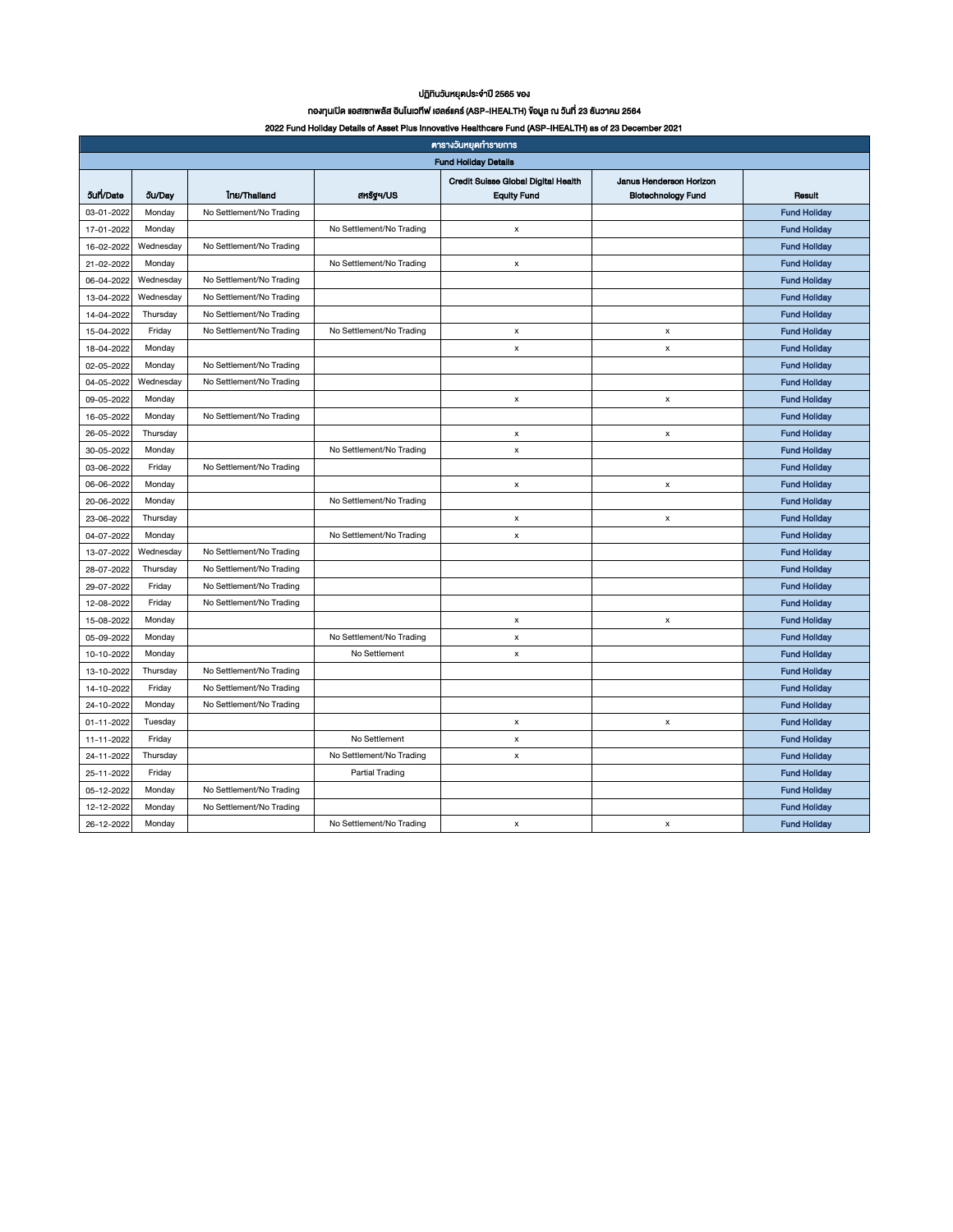## ปฏิทินวันหยุดประจำปี 2565 ของ

## กองทุนเปิด แอสเซทพลัส อินโนเวทีฟ เฮลธ์แคร์ (ASP-IHEALTH) ข้อมูล ณ วันที่ 23 ธันวำคม 2564

#### 2022 Fund Holiday Details of Asset Plus Innovative Healthcare Fund (ASP-IHEALTH) as of 23 December 2021

| ศารางวันหยุดทำรายการ        |                |                          |                          |                                     |                           |                     |  |  |  |  |
|-----------------------------|----------------|--------------------------|--------------------------|-------------------------------------|---------------------------|---------------------|--|--|--|--|
| <b>Fund Holiday Details</b> |                |                          |                          |                                     |                           |                     |  |  |  |  |
|                             |                |                          |                          | Credit Suisse Global Digital Health | Janus Henderson Horizon   |                     |  |  |  |  |
| <b>Sun/Date</b>             | <b>วัน/Dav</b> | Inu/Thailand             | ansy4/US                 | <b>Equity Fund</b>                  | <b>Biotechnology Fund</b> | Rosult              |  |  |  |  |
| 03-01-2022                  | Monday         | No Settlement/No Trading |                          |                                     |                           | <b>Fund Hollday</b> |  |  |  |  |
| 17-01-2022                  | Monday         |                          | No Settlement/No Trading | x                                   |                           | <b>Fund Holiday</b> |  |  |  |  |
| 16-02-2022                  | Wednesday      | No Settlement/No Trading |                          |                                     |                           | <b>Fund Holiday</b> |  |  |  |  |
| 21-02-2022                  | Monday         |                          | No Settlement/No Trading | $\pmb{\mathsf{x}}$                  |                           | <b>Fund Holiday</b> |  |  |  |  |
| 06-04-2022                  | Wednesday      | No Settlement/No Trading |                          |                                     |                           | <b>Fund Holiday</b> |  |  |  |  |
| 13-04-2022                  | Wednesday      | No Settlement/No Trading |                          |                                     |                           | <b>Fund Holiday</b> |  |  |  |  |
| 14-04-2022                  | Thursday       | No Settlement/No Trading |                          |                                     |                           | <b>Fund Holiday</b> |  |  |  |  |
| 15-04-2022                  | Friday         | No Settlement/No Trading | No Settlement/No Trading | $\pmb{\times}$                      | $\pmb{\times}$            | <b>Fund Holiday</b> |  |  |  |  |
| 18-04-2022                  | Monday         |                          |                          | $\pmb{\mathsf{x}}$                  | $\boldsymbol{\mathsf{x}}$ | <b>Fund Hollday</b> |  |  |  |  |
| 02-05-2022                  | Monday         | No Settlement/No Trading |                          |                                     |                           | <b>Fund Holiday</b> |  |  |  |  |
| 04-05-2022                  | Wednesday      | No Settlement/No Trading |                          |                                     |                           | <b>Fund Holiday</b> |  |  |  |  |
| 09-05-2022                  | Monday         |                          |                          | $\pmb{\mathsf{x}}$                  | $\pmb{\times}$            | <b>Fund Holiday</b> |  |  |  |  |
| 16-05-2022                  | Monday         | No Settlement/No Trading |                          |                                     |                           | <b>Fund Holiday</b> |  |  |  |  |
| 26-05-2022                  | Thursday       |                          |                          | x                                   | $\pmb{\times}$            | <b>Fund Holiday</b> |  |  |  |  |
| 30-05-2022                  | Monday         |                          | No Settlement/No Trading | x                                   |                           | <b>Fund Holiday</b> |  |  |  |  |
| 03-06-2022                  | Friday         | No Settlement/No Trading |                          |                                     |                           | <b>Fund Holiday</b> |  |  |  |  |
| 06-06-2022                  | Monday         |                          |                          | $\pmb{\mathsf{x}}$                  | $\pmb{\times}$            | <b>Fund Hollday</b> |  |  |  |  |
| 20-06-2022                  | Monday         |                          | No Settlement/No Trading |                                     |                           | <b>Fund Holiday</b> |  |  |  |  |
| 23-06-2022                  | Thursday       |                          |                          | x                                   | x                         | <b>Fund Holiday</b> |  |  |  |  |
| 04-07-2022                  | Monday         |                          | No Settlement/No Trading | x                                   |                           | <b>Fund Holiday</b> |  |  |  |  |
| 13-07-2022                  | Wednesday      | No Settlement/No Trading |                          |                                     |                           | <b>Fund Holiday</b> |  |  |  |  |
| 28-07-2022                  | Thursday       | No Settlement/No Trading |                          |                                     |                           | <b>Fund Holiday</b> |  |  |  |  |
| 29-07-2022                  | Friday         | No Settlement/No Trading |                          |                                     |                           | <b>Fund Holiday</b> |  |  |  |  |
| 12-08-2022                  | Friday         | No Settlement/No Trading |                          |                                     |                           | <b>Fund Holiday</b> |  |  |  |  |
| 15-08-2022                  | Monday         |                          |                          | $\mathsf{x}$                        | $\boldsymbol{\mathsf{x}}$ | <b>Fund Hollday</b> |  |  |  |  |
| 05-09-2022                  | Monday         |                          | No Settlement/No Trading | x                                   |                           | <b>Fund Holiday</b> |  |  |  |  |
| 10-10-2022                  | Monday         |                          | No Settlement            | х                                   |                           | <b>Fund Holiday</b> |  |  |  |  |
| 13-10-2022                  | Thursday       | No Settlement/No Trading |                          |                                     |                           | <b>Fund Holiday</b> |  |  |  |  |
| 14-10-2022                  | Friday         | No Settlement/No Trading |                          |                                     |                           | <b>Fund Holiday</b> |  |  |  |  |
| 24-10-2022                  | Monday         | No Settlement/No Trading |                          |                                     |                           | <b>Fund Holiday</b> |  |  |  |  |
| 01-11-2022                  | Tuesday        |                          |                          | x                                   | x                         | <b>Fund Holiday</b> |  |  |  |  |
| 11-11-2022                  | Friday         |                          | No Settlement            | x                                   |                           | <b>Fund Holiday</b> |  |  |  |  |
| 24-11-2022                  | Thursday       |                          | No Settlement/No Trading | $\pmb{\mathsf{x}}$                  |                           | <b>Fund Hollday</b> |  |  |  |  |
| 25-11-2022                  | Friday         |                          | <b>Partial Trading</b>   |                                     |                           | <b>Fund Holiday</b> |  |  |  |  |
| 05-12-2022                  | Monday         | No Settlement/No Trading |                          |                                     |                           | <b>Fund Holiday</b> |  |  |  |  |
| 12-12-2022                  | Monday         | No Settlement/No Trading |                          |                                     |                           | <b>Fund Holiday</b> |  |  |  |  |
| 26-12-2022                  | Monday         |                          | No Settlement/No Trading | $\pmb{\mathsf{x}}$                  | $\boldsymbol{\mathsf{x}}$ | <b>Fund Holidav</b> |  |  |  |  |